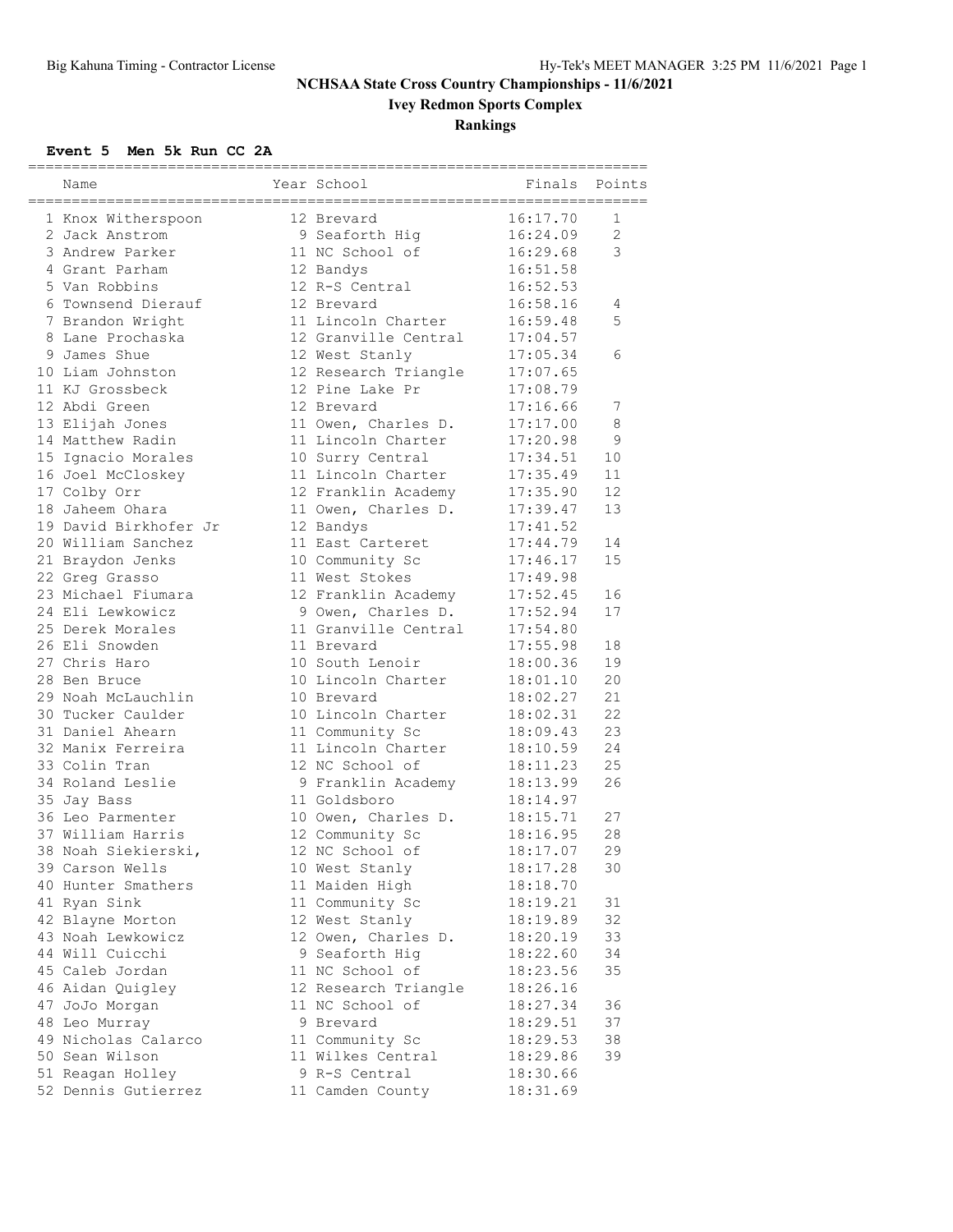# **Ivey Redmon Sports Complex**

### **Rankings**

#### **Event 5 Men 5k Run CC 2A**

| Name                  | Year School          | =====================<br>Finals | Points         |
|-----------------------|----------------------|---------------------------------|----------------|
| 1 Knox Witherspoon    | 12 Brevard           | 16:17.70                        | 1              |
| 2 Jack Anstrom        | 9 Seaforth Hig       | 16:24.09                        | $\overline{2}$ |
| 3 Andrew Parker       | 11 NC School of      | 16:29.68                        | 3              |
| 4 Grant Parham        | 12 Bandys            | 16:51.58                        |                |
| 5 Van Robbins         | 12 R-S Central       | 16:52.53                        |                |
| 6 Townsend Dierauf    | 12 Brevard           | 16:58.16                        | 4              |
| 7 Brandon Wright      | 11 Lincoln Charter   | 16:59.48                        | 5              |
| 8 Lane Prochaska      | 12 Granville Central | 17:04.57                        |                |
| 9 James Shue          | 12 West Stanly       | 17:05.34                        | 6              |
| 10 Liam Johnston      | 12 Research Triangle | 17:07.65                        |                |
| 11 KJ Grossbeck       | 12 Pine Lake Pr      | 17:08.79                        |                |
| 12 Abdi Green         | 12 Brevard           | 17:16.66                        | 7              |
| 13 Elijah Jones       | 11 Owen, Charles D.  | 17:17.00                        | 8              |
| 14 Matthew Radin      | 11 Lincoln Charter   | 17:20.98                        | 9              |
| 15 Ignacio Morales    | 10 Surry Central     | 17:34.51                        | 10             |
| 16 Joel McCloskey     | 11 Lincoln Charter   | 17:35.49                        | 11             |
| 17 Colby Orr          | 12 Franklin Academy  | 17:35.90                        | 12             |
| 18 Jaheem Ohara       | 11 Owen, Charles D.  | 17:39.47                        | 13             |
| 19 David Birkhofer Jr | 12 Bandys            | 17:41.52                        |                |
| 20 William Sanchez    | 11 East Carteret     | 17:44.79                        | 14             |
| 21 Braydon Jenks      | 10 Community Sc      | 17:46.17                        | 15             |
| 22 Greg Grasso        | 11 West Stokes       | 17:49.98                        |                |
| 23 Michael Fiumara    | 12 Franklin Academy  | 17:52.45                        | 16             |
| 24 Eli Lewkowicz      | 9 Owen, Charles D.   | 17:52.94                        | 17             |
| 25 Derek Morales      | 11 Granville Central | 17:54.80                        |                |
| 26 Eli Snowden        | 11 Brevard           | 17:55.98                        | 18             |
| 27 Chris Haro         | 10 South Lenoir      | 18:00.36                        | 19             |
| 28 Ben Bruce          | 10 Lincoln Charter   | 18:01.10                        | 20             |
| 29 Noah McLauchlin    | 10 Brevard           | 18:02.27                        | 21             |
| 30 Tucker Caulder     | 10 Lincoln Charter   | 18:02.31                        | 22             |
| 31 Daniel Ahearn      | 11 Community Sc      | 18:09.43                        | 23             |
| 32 Manix Ferreira     | 11 Lincoln Charter   | 18:10.59                        | 24             |
| 33 Colin Tran         | 12 NC School of      | 18:11.23                        | 25             |
| 34 Roland Leslie      | 9 Franklin Academy   | 18:13.99                        | 26             |
| 35 Jay Bass           | 11 Goldsboro         | 18:14.97                        |                |
| 36 Leo Parmenter      | 10 Owen, Charles D.  | 18:15.71                        | 27             |
| 37 William Harris     | 12 Community Sc      | 18:16.95                        | 28             |
| 38 Noah Siekierski,   | 12 NC School of      | 18:17.07                        | 29             |
| 39 Carson Wells       | 10 West Stanly       | 18:17.28                        | 30             |
| 40 Hunter Smathers    | 11 Maiden High       | 18:18.70                        |                |
| 41 Ryan Sink          | 11 Community Sc      | 18:19.21                        | 31             |
| 42 Blayne Morton      | 12 West Stanly       | 18:19.89                        | 32             |
| 43 Noah Lewkowicz     | 12 Owen, Charles D.  | 18:20.19                        | 33             |
| 44 Will Cuicchi       | 9 Seaforth Hig       | 18:22.60                        | 34             |
| 45 Caleb Jordan       | 11 NC School of      | 18:23.56                        | 35             |
| 46 Aidan Quigley      | 12 Research Triangle | 18:26.16                        |                |
| 47 JoJo Morgan        | 11 NC School of      | 18:27.34                        | 36             |
| 48 Leo Murray         | 9 Brevard            | 18:29.51                        | 37             |
| 49 Nicholas Calarco   | 11 Community Sc      | 18:29.53                        | 38             |
| 50 Sean Wilson        | 11 Wilkes Central    | 18:29.86                        | 39             |
| 51 Reagan Holley      | 9 R-S Central        | 18:30.66                        |                |
| 52 Dennis Gutierrez   | 11 Camden County     | 18:31.69                        |                |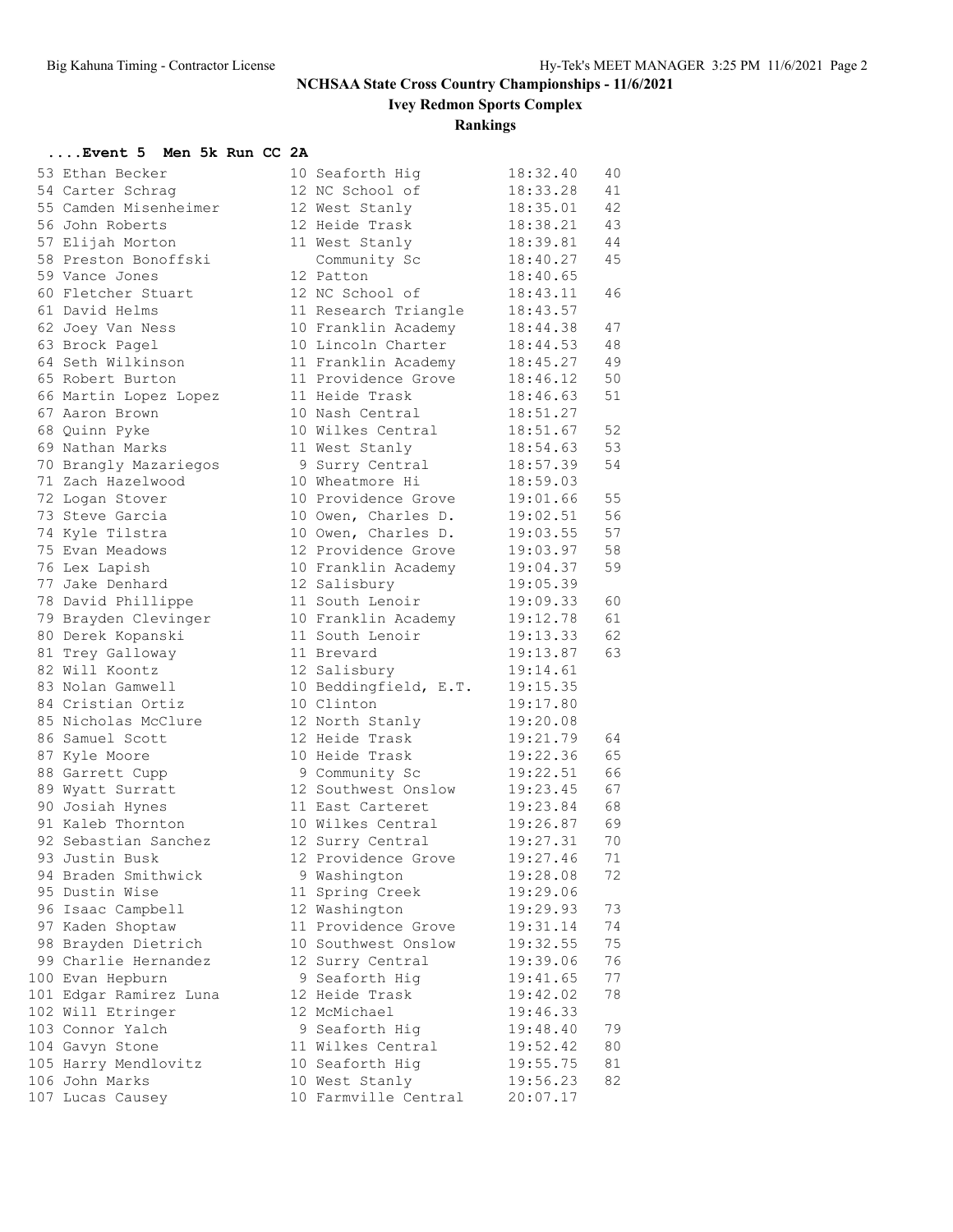**Ivey Redmon Sports Complex**

**Rankings**

| Event 5 Men 5k Run CC 2A |  |  |  |  |  |  |  |  |
|--------------------------|--|--|--|--|--|--|--|--|
|--------------------------|--|--|--|--|--|--|--|--|

| 53 Ethan Becker                       | 10 Seaforth Hig       | 18:32.40             | 40       |
|---------------------------------------|-----------------------|----------------------|----------|
| 54 Carter Schrag                      | 12 NC School of       | 18:33.28             | 41       |
| 55 Camden Misenheimer                 | 12 West Stanly        | 18:35.01             | 42       |
| 56 John Roberts                       | 12 Heide Trask        | 18:38.21             | 43       |
| 57 Elijah Morton                      | 11 West Stanly        | 18:39.81             | 44       |
| 58 Preston Bonoffski                  | Community Sc          | 18:40.27             | 45       |
| 59 Vance Jones                        | 12 Patton             | 18:40.65             |          |
| 60 Fletcher Stuart                    | 12 NC School of       | 18:43.11             | 46       |
| 61 David Helms                        | 11 Research Triangle  | 18:43.57             |          |
| 62 Joey Van Ness                      | 10 Franklin Academy   | 18:44.38             | 47       |
| 63 Brock Pagel                        | 10 Lincoln Charter    | 18:44.53             | 48       |
| 64 Seth Wilkinson                     | 11 Franklin Academy   | 18:45.27             | 49       |
| 65 Robert Burton                      | 11 Providence Grove   | 18:46.12             | 50       |
| 66 Martin Lopez Lopez                 | 11 Heide Trask        | 18:46.63             | 51       |
| 67 Aaron Brown                        | 10 Nash Central       | 18:51.27             |          |
| 68 Quinn Pyke                         | 10 Wilkes Central     | 18:51.67             | 52       |
| 69 Nathan Marks                       | 11 West Stanly        | 18:54.63             | 53       |
| 70 Brangly Mazariegos                 | 9 Surry Central       | 18:57.39             | 54       |
| 71 Zach Hazelwood                     | 10 Wheatmore Hi       | 18:59.03             |          |
| 72 Logan Stover                       | 10 Providence Grove   | 19:01.66             | 55       |
| 73 Steve Garcia                       | 10 Owen, Charles D.   | 19:02.51             | 56       |
| 74 Kyle Tilstra                       | 10 Owen, Charles D.   | 19:03.55             | 57       |
| 75 Evan Meadows                       | 12 Providence Grove   | 19:03.97             | 58       |
| 76 Lex Lapish                         | 10 Franklin Academy   | 19:04.37             | 59       |
| 77 Jake Denhard                       | 12 Salisbury          | 19:05.39             |          |
| 78 David Phillippe                    | 11 South Lenoir       | 19:09.33             | 60       |
| 79 Brayden Clevinger                  | 10 Franklin Academy   | 19:12.78             | 61       |
| 80 Derek Kopanski                     | 11 South Lenoir       | 19:13.33             | 62       |
| 81 Trey Galloway                      | 11 Brevard            | 19:13.87             | 63       |
| 82 Will Koontz                        | 12 Salisbury          | 19:14.61             |          |
| 83 Nolan Gamwell                      | 10 Beddingfield, E.T. | 19:15.35             |          |
| 84 Cristian Ortiz                     | 10 Clinton            | 19:17.80             |          |
| 85 Nicholas McClure                   | 12 North Stanly       | 19:20.08             |          |
| 86 Samuel Scott                       | 12 Heide Trask        | 19:21.79             | 64       |
|                                       | 10 Heide Trask        | 19:22.36             | 65       |
| 87 Kyle Moore                         |                       |                      | 66       |
| 88 Garrett Cupp                       | 9 Community Sc        | 19:22.51             |          |
| 89 Wyatt Surratt                      | 12 Southwest Onslow   | 19:23.45<br>19:23.84 | 67<br>68 |
| 90 Josiah Hynes<br>91 Kaleb Thornton  | 11 East Carteret      |                      |          |
|                                       | 10 Wilkes Central     | 19:26.87             | 69       |
| 92 Sebastian Sanchez                  | 12 Surry Central      | 19:27.31             | 70       |
| 93 Justin Busk                        | 12 Providence Grove   | 19:27.46             | 71       |
| 94 Braden Smithwick<br>95 Dustin Wise | 9 Washington          | 19:28.08             | 72       |
|                                       | 11 Spring Creek       | 19:29.06             |          |
| 96 Isaac Campbell                     | 12 Washington         | 19:29.93             | 73       |
| 97 Kaden Shoptaw                      | 11 Providence Grove   | 19:31.14             | 74       |
| 98 Brayden Dietrich                   | 10 Southwest Onslow   | 19:32.55             | 75       |
| 99 Charlie Hernandez                  | 12 Surry Central      | 19:39.06             | 76       |
| 100 Evan Hepburn                      | 9 Seaforth Hig        | 19:41.65             | 77       |
| 101 Edgar Ramirez Luna                | 12 Heide Trask        | 19:42.02             | 78       |
| 102 Will Etringer                     | 12 McMichael          | 19:46.33             |          |
| 103 Connor Yalch                      | 9 Seaforth Hig        | 19:48.40             | 79       |
| 104 Gavyn Stone                       | 11 Wilkes Central     | 19:52.42             | 80       |
| 105 Harry Mendlovitz                  | 10 Seaforth Hig       | 19:55.75             | 81       |
| 106 John Marks                        | 10 West Stanly        | 19:56.23             | 82       |
| 107 Lucas Causey                      | 10 Farmville Central  | 20:07.17             |          |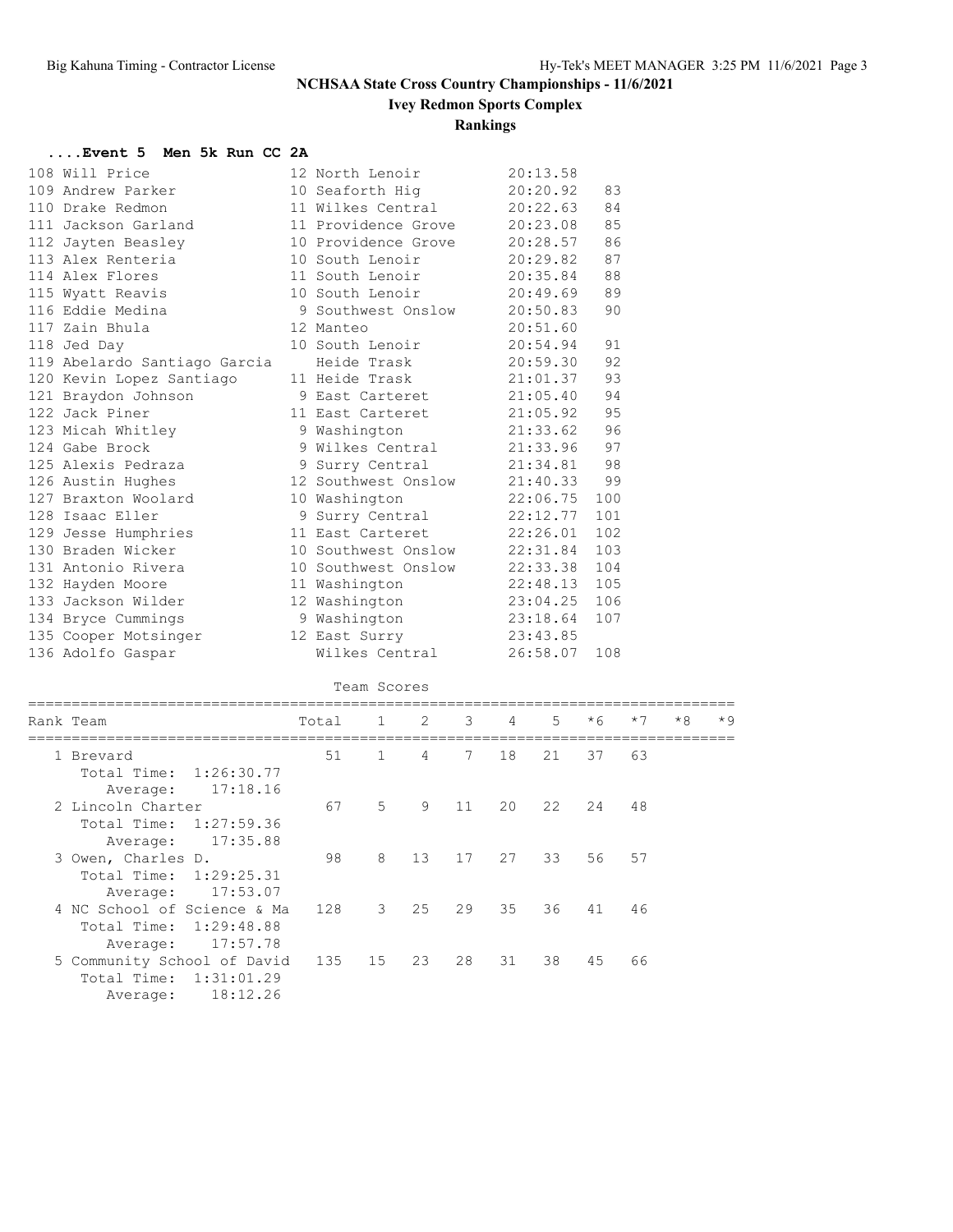**Ivey Redmon Sports Complex**

### **Rankings**

#### **....Event 5 Men 5k Run CC 2A**

| 108 Will Price               | 12 North Lenoir     | 20:13.58 |     |
|------------------------------|---------------------|----------|-----|
| 109 Andrew Parker            | 10 Seaforth Hig     | 20:20.92 | 83  |
| 110 Drake Redmon             | 11 Wilkes Central   | 20:22.63 | 84  |
| 111 Jackson Garland          | 11 Providence Grove | 20:23.08 | 85  |
| 112 Jayten Beasley           | 10 Providence Grove | 20:28.57 | 86  |
| 113 Alex Renteria            | 10 South Lenoir     | 20:29.82 | 87  |
| 114 Alex Flores              | 11 South Lenoir     | 20:35.84 | 88  |
| 115 Wyatt Reavis             | 10 South Lenoir     | 20:49.69 | 89  |
| 116 Eddie Medina             | 9 Southwest Onslow  | 20:50.83 | 90  |
| 117 Zain Bhula               | 12 Manteo           | 20:51.60 |     |
| 118 Jed Day                  | 10 South Lenoir     | 20:54.94 | 91  |
| 119 Abelardo Santiago Garcia | Heide Trask         | 20:59.30 | 92  |
| 120 Kevin Lopez Santiago     | 11 Heide Trask      | 21:01.37 | 93  |
| 121 Braydon Johnson          | 9 East Carteret     | 21:05.40 | 94  |
| 122 Jack Piner               | 11 East Carteret    | 21:05.92 | 95  |
| 123 Micah Whitley            | 9 Washington        | 21:33.62 | 96  |
| 124 Gabe Brock               | 9 Wilkes Central    | 21:33.96 | 97  |
| 125 Alexis Pedraza           | 9 Surry Central     | 21:34.81 | 98  |
| 126 Austin Hughes            | 12 Southwest Onslow | 21:40.33 | 99  |
| 127 Braxton Woolard          | 10 Washington       | 22:06.75 | 100 |
| 128 Isaac Eller              | 9 Surry Central     | 22:12.77 | 101 |
| 129 Jesse Humphries          | 11 East Carteret    | 22:26.01 | 102 |
| 130 Braden Wicker            | 10 Southwest Onslow | 22:31.84 | 103 |
| 131 Antonio Rivera           | 10 Southwest Onslow | 22:33.38 | 104 |
| 132 Hayden Moore             | 11 Washington       | 22:48.13 | 105 |
| 133 Jackson Wilder           | 12 Washington       | 23:04.25 | 106 |
| 134 Bryce Cummings           | 9 Washington        | 23:18.64 | 107 |
| 135 Cooper Motsinger         | 12 East Surry       | 23:43.85 |     |
| 136 Adolfo Gaspar            | Wilkes Central      | 26:58.07 | 108 |
|                              |                     |          |     |

| Team Scores |                                                                                  |       |               |    |                         |                |       |      |      |      |      |
|-------------|----------------------------------------------------------------------------------|-------|---------------|----|-------------------------|----------------|-------|------|------|------|------|
|             | Rank Team                                                                        | Total | $\mathbf{1}$  | 2  | $\overline{\mathbf{3}}$ | $\overline{4}$ | $5 -$ | $*6$ | $*7$ | $*8$ | $*9$ |
|             | 1 Brevard<br>Total Time: 1:26:30.77<br>17:18.16<br>Average:                      | 51    | $\mathbf{1}$  | 4  | 7                       | 18             | 21    | 37   | 63   |      |      |
|             | 2 Lincoln Charter<br>Total Time: 1:27:59.36<br>17:35.88<br>Average:              | 67    | 5             | 9  | 11                      | 20             | 22    | 24   | 48   |      |      |
|             | 3 Owen, Charles D.<br>Total Time: 1:29:25.31<br>17:53.07<br>Average:             | 98    | 8             | 13 | 17                      | 27             | 33    | 56   | 57   |      |      |
|             | 4 NC School of Science & Ma<br>1:29:48.88<br>Total Time:<br>17:57.78<br>Average: | 128   | $\mathcal{S}$ | 25 | 29                      | 35             | 36    | 41   | 46   |      |      |
|             | 5 Community School of David<br>1:31:01.29<br>Total Time:<br>18:12.26<br>Average: | 135   | 15            | 23 | 28                      | 31             | 38    | 45   | 66   |      |      |